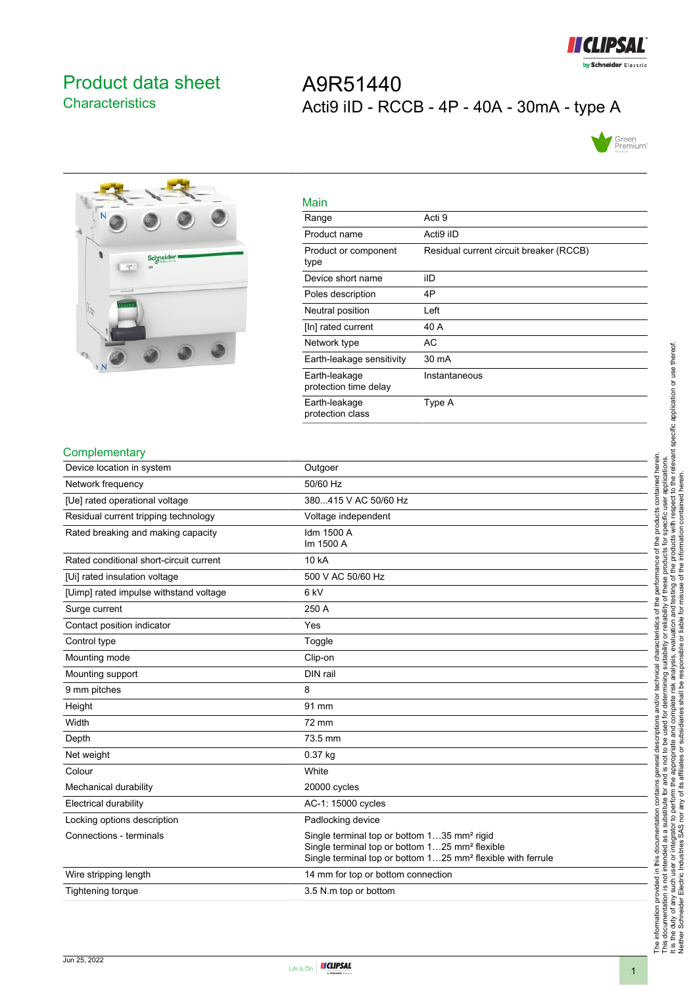

## <span id="page-0-0"></span>Product data sheet **Characteristics**

# A9R51440 Acti9 iID - RCCB - 4P - 40A - 30mA - type A





| Main                                   |                                         |
|----------------------------------------|-----------------------------------------|
| Range                                  | Acti 9                                  |
| Product name                           | Acti9 iID                               |
| Product or component<br>type           | Residual current circuit breaker (RCCB) |
| Device short name                      | ilD                                     |
| Poles description                      | 4P                                      |
| Neutral position                       | Left                                    |
| [In] rated current                     | 40 A                                    |
| Network type                           | AC                                      |
| Earth-leakage sensitivity              | 30 mA                                   |
| Earth-leakage<br>protection time delay | Instantaneous                           |
| Earth-leakage<br>protection class      | Type A                                  |

#### **Complementary**

| י ייטויוטוויטושוויט                     |                                                                                                                                                                                                  |
|-----------------------------------------|--------------------------------------------------------------------------------------------------------------------------------------------------------------------------------------------------|
| Device location in system               | Outgoer                                                                                                                                                                                          |
| Network frequency                       | 50/60 Hz                                                                                                                                                                                         |
| [Ue] rated operational voltage          | 380415 V AC 50/60 Hz                                                                                                                                                                             |
| Residual current tripping technology    | Voltage independent                                                                                                                                                                              |
| Rated breaking and making capacity      | Idm 1500 A<br>Im 1500 A                                                                                                                                                                          |
| Rated conditional short-circuit current | 10 kA                                                                                                                                                                                            |
| [Ui] rated insulation voltage           | 500 V AC 50/60 Hz                                                                                                                                                                                |
| [Uimp] rated impulse withstand voltage  | 6 <sub>kV</sub>                                                                                                                                                                                  |
| Surge current                           | 250 A                                                                                                                                                                                            |
| Contact position indicator              | Yes                                                                                                                                                                                              |
| Control type                            | Toggle                                                                                                                                                                                           |
| Mounting mode                           | Clip-on                                                                                                                                                                                          |
| Mounting support                        | DIN rail                                                                                                                                                                                         |
| 9 mm pitches                            | 8                                                                                                                                                                                                |
| Height                                  | 91 mm                                                                                                                                                                                            |
| Width                                   | 72 mm                                                                                                                                                                                            |
| Depth                                   | 73.5 mm                                                                                                                                                                                          |
| Net weight                              | $0.37$ kg                                                                                                                                                                                        |
| Colour                                  | White                                                                                                                                                                                            |
| Mechanical durability                   | 20000 cycles                                                                                                                                                                                     |
| <b>Electrical durability</b>            | AC-1: 15000 cycles                                                                                                                                                                               |
| Locking options description             | Padlocking device                                                                                                                                                                                |
| Connections - terminals                 | Single terminal top or bottom 135 mm <sup>2</sup> rigid<br>Single terminal top or bottom 125 mm <sup>2</sup> flexible<br>Single terminal top or bottom 125 mm <sup>2</sup> flexible with ferrule |
| Wire stripping length                   | 14 mm for top or bottom connection                                                                                                                                                               |
| <b>Tightening torque</b>                | 3.5 N m top or bottom                                                                                                                                                                            |